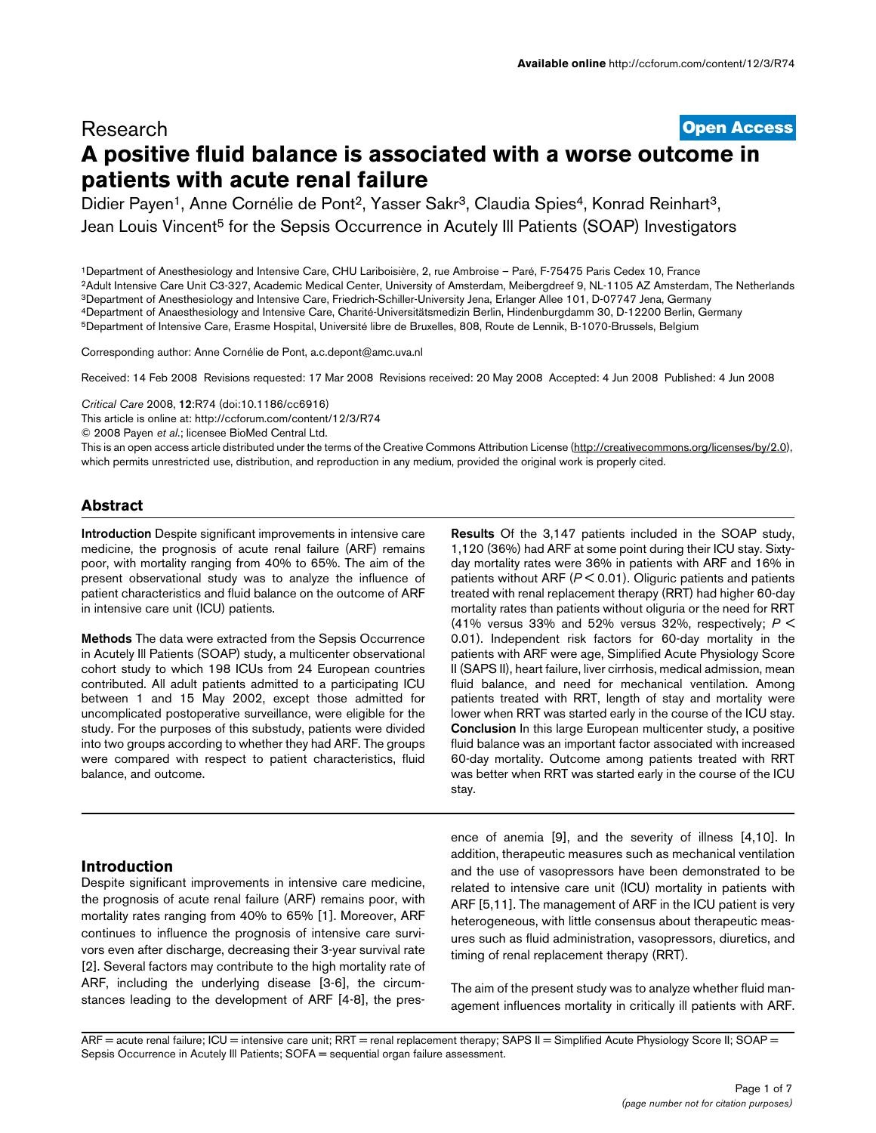# **[Open Access](http://www.biomedcentral.com/info/about/charter/)** Research **A positive fluid balance is associated with a worse outcome in patients with acute renal failure**

Didier Payen<sup>1</sup>, Anne Cornélie de Pont<sup>2</sup>, Yasser Sakr<sup>3</sup>, Claudia Spies<sup>4</sup>, Konrad Reinhart<sup>3</sup>, Jean Louis Vincent<sup>5</sup> for the Sepsis Occurrence in Acutely III Patients (SOAP) Investigators

1Department of Anesthesiology and Intensive Care, CHU Lariboisière, 2, rue Ambroise – Paré, F-75475 Paris Cedex 10, France 2Adult Intensive Care Unit C3-327, Academic Medical Center, University of Amsterdam, Meibergdreef 9, NL-1105 AZ Amsterdam, The Netherlands 3Department of Anesthesiology and Intensive Care, Friedrich-Schiller-University Jena, Erlanger Allee 101, D-07747 Jena, Germany 4Department of Anaesthesiology and Intensive Care, Charité-Universitätsmedizin Berlin, Hindenburgdamm 30, D-12200 Berlin, Germany 5Department of Intensive Care, Erasme Hospital, Université libre de Bruxelles, 808, Route de Lennik, B-1070-Brussels, Belgium

Corresponding author: Anne Cornélie de Pont, a.c.depont@amc.uva.nl

Received: 14 Feb 2008 Revisions requested: 17 Mar 2008 Revisions received: 20 May 2008 Accepted: 4 Jun 2008 Published: 4 Jun 2008

*Critical Care* 2008, **12**:R74 (doi:10.1186/cc6916)

[This article is online at: http://ccforum.com/content/12/3/R74](http://ccforum.com/content/12/3/R74)

© 2008 Payen *et al*.; licensee BioMed Central Ltd.

This is an open access article distributed under the terms of the Creative Commons Attribution License [\(http://creativecommons.org/licenses/by/2.0\)](http://creativecommons.org/licenses/by/2.0), which permits unrestricted use, distribution, and reproduction in any medium, provided the original work is properly cited.

## **Abstract**

**Introduction** Despite significant improvements in intensive care medicine, the prognosis of acute renal failure (ARF) remains poor, with mortality ranging from 40% to 65%. The aim of the present observational study was to analyze the influence of patient characteristics and fluid balance on the outcome of ARF in intensive care unit (ICU) patients.

**Methods** The data were extracted from the Sepsis Occurrence in Acutely Ill Patients (SOAP) study, a multicenter observational cohort study to which 198 ICUs from 24 European countries contributed. All adult patients admitted to a participating ICU between 1 and 15 May 2002, except those admitted for uncomplicated postoperative surveillance, were eligible for the study. For the purposes of this substudy, patients were divided into two groups according to whether they had ARF. The groups were compared with respect to patient characteristics, fluid balance, and outcome.

## **Introduction**

Despite significant improvements in intensive care medicine, the prognosis of acute renal failure (ARF) remains poor, with mortality rates ranging from 40% to 65% [1]. Moreover, ARF continues to influence the prognosis of intensive care survivors even after discharge, decreasing their 3-year survival rate [2]. Several factors may contribute to the high mortality rate of ARF, including the underlying disease [3-6], the circumstances leading to the development of ARF [4-8], the pres-

**Results** Of the 3,147 patients included in the SOAP study, 1,120 (36%) had ARF at some point during their ICU stay. Sixtyday mortality rates were 36% in patients with ARF and 16% in patients without ARF (*P* < 0.01). Oliguric patients and patients treated with renal replacement therapy (RRT) had higher 60-day mortality rates than patients without oliguria or the need for RRT (41% versus 33% and 52% versus 32%, respectively; *P* < 0.01). Independent risk factors for 60-day mortality in the patients with ARF were age, Simplified Acute Physiology Score II (SAPS II), heart failure, liver cirrhosis, medical admission, mean fluid balance, and need for mechanical ventilation. Among patients treated with RRT, length of stay and mortality were lower when RRT was started early in the course of the ICU stay. **Conclusion** In this large European multicenter study, a positive fluid balance was an important factor associated with increased 60-day mortality. Outcome among patients treated with RRT was better when RRT was started early in the course of the ICU stay.

ence of anemia [9], and the severity of illness [4,10]. In addition, therapeutic measures such as mechanical ventilation and the use of vasopressors have been demonstrated to be related to intensive care unit (ICU) mortality in patients with ARF [5,11]. The management of ARF in the ICU patient is very heterogeneous, with little consensus about therapeutic measures such as fluid administration, vasopressors, diuretics, and timing of renal replacement therapy (RRT).

The aim of the present study was to analyze whether fluid management influences mortality in critically ill patients with ARF.

 $ARF =$  acute renal failure; ICU = intensive care unit; RRT = renal replacement therapy; SAPS II = Simplified Acute Physiology Score II; SOAP = Sepsis Occurrence in Acutely III Patients; SOFA = sequential organ failure assessment.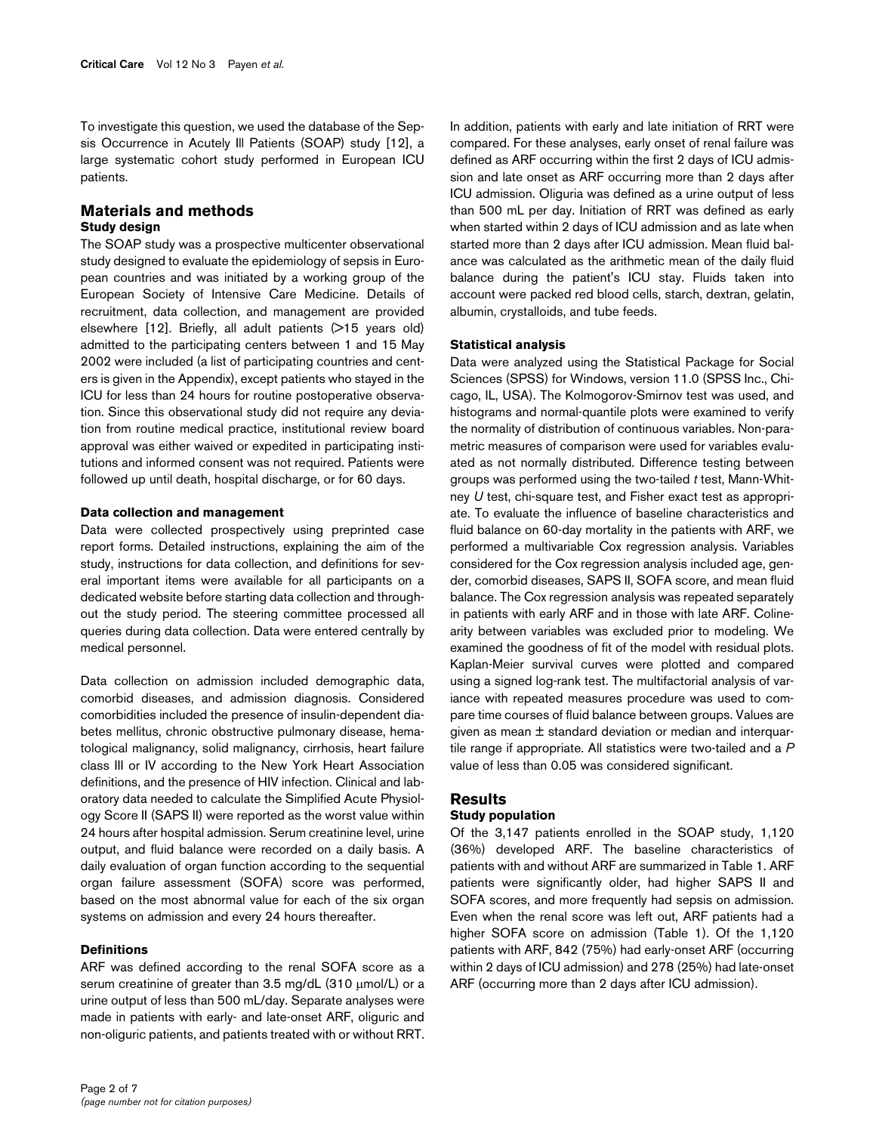To investigate this question, we used the database of the Sepsis Occurrence in Acutely Ill Patients (SOAP) study [12], a large systematic cohort study performed in European ICU patients.

## **Materials and methods Study design**

The SOAP study was a prospective multicenter observational study designed to evaluate the epidemiology of sepsis in European countries and was initiated by a working group of the European Society of Intensive Care Medicine. Details of recruitment, data collection, and management are provided elsewhere [12]. Briefly, all adult patients (>15 years old) admitted to the participating centers between 1 and 15 May 2002 were included (a list of participating countries and centers is given in the Appendix), except patients who stayed in the ICU for less than 24 hours for routine postoperative observation. Since this observational study did not require any deviation from routine medical practice, institutional review board approval was either waived or expedited in participating institutions and informed consent was not required. Patients were followed up until death, hospital discharge, or for 60 days.

### **Data collection and management**

Data were collected prospectively using preprinted case report forms. Detailed instructions, explaining the aim of the study, instructions for data collection, and definitions for several important items were available for all participants on a dedicated website before starting data collection and throughout the study period. The steering committee processed all queries during data collection. Data were entered centrally by medical personnel.

Data collection on admission included demographic data, comorbid diseases, and admission diagnosis. Considered comorbidities included the presence of insulin-dependent diabetes mellitus, chronic obstructive pulmonary disease, hematological malignancy, solid malignancy, cirrhosis, heart failure class III or IV according to the New York Heart Association definitions, and the presence of HIV infection. Clinical and laboratory data needed to calculate the Simplified Acute Physiology Score II (SAPS II) were reported as the worst value within 24 hours after hospital admission. Serum creatinine level, urine output, and fluid balance were recorded on a daily basis. A daily evaluation of organ function according to the sequential organ failure assessment (SOFA) score was performed, based on the most abnormal value for each of the six organ systems on admission and every 24 hours thereafter.

## **Definitions**

ARF was defined according to the renal SOFA score as a serum creatinine of greater than 3.5 mg/dL (310 μmol/L) or a urine output of less than 500 mL/day. Separate analyses were made in patients with early- and late-onset ARF, oliguric and non-oliguric patients, and patients treated with or without RRT. In addition, patients with early and late initiation of RRT were compared. For these analyses, early onset of renal failure was defined as ARF occurring within the first 2 days of ICU admission and late onset as ARF occurring more than 2 days after ICU admission. Oliguria was defined as a urine output of less than 500 mL per day. Initiation of RRT was defined as early when started within 2 days of ICU admission and as late when started more than 2 days after ICU admission. Mean fluid balance was calculated as the arithmetic mean of the daily fluid balance during the patient's ICU stay. Fluids taken into account were packed red blood cells, starch, dextran, gelatin, albumin, crystalloids, and tube feeds.

## **Statistical analysis**

Data were analyzed using the Statistical Package for Social Sciences (SPSS) for Windows, version 11.0 (SPSS Inc., Chicago, IL, USA). The Kolmogorov-Smirnov test was used, and histograms and normal-quantile plots were examined to verify the normality of distribution of continuous variables. Non-parametric measures of comparison were used for variables evaluated as not normally distributed. Difference testing between groups was performed using the two-tailed *t* test, Mann-Whitney *U* test, chi-square test, and Fisher exact test as appropriate. To evaluate the influence of baseline characteristics and fluid balance on 60-day mortality in the patients with ARF, we performed a multivariable Cox regression analysis. Variables considered for the Cox regression analysis included age, gender, comorbid diseases, SAPS II, SOFA score, and mean fluid balance. The Cox regression analysis was repeated separately in patients with early ARF and in those with late ARF. Colinearity between variables was excluded prior to modeling. We examined the goodness of fit of the model with residual plots. Kaplan-Meier survival curves were plotted and compared using a signed log-rank test. The multifactorial analysis of variance with repeated measures procedure was used to compare time courses of fluid balance between groups. Values are given as mean ± standard deviation or median and interquartile range if appropriate. All statistics were two-tailed and a *P* value of less than 0.05 was considered significant.

## **Results Study population**

Of the 3,147 patients enrolled in the SOAP study, 1,120 (36%) developed ARF. The baseline characteristics of patients with and without ARF are summarized in Table [1.](#page-2-0) ARF patients were significantly older, had higher SAPS II and SOFA scores, and more frequently had sepsis on admission. Even when the renal score was left out, ARF patients had a higher SOFA score on admission (Table [1\)](#page-2-0). Of the 1,120 patients with ARF, 842 (75%) had early-onset ARF (occurring within 2 days of ICU admission) and 278 (25%) had late-onset ARF (occurring more than 2 days after ICU admission).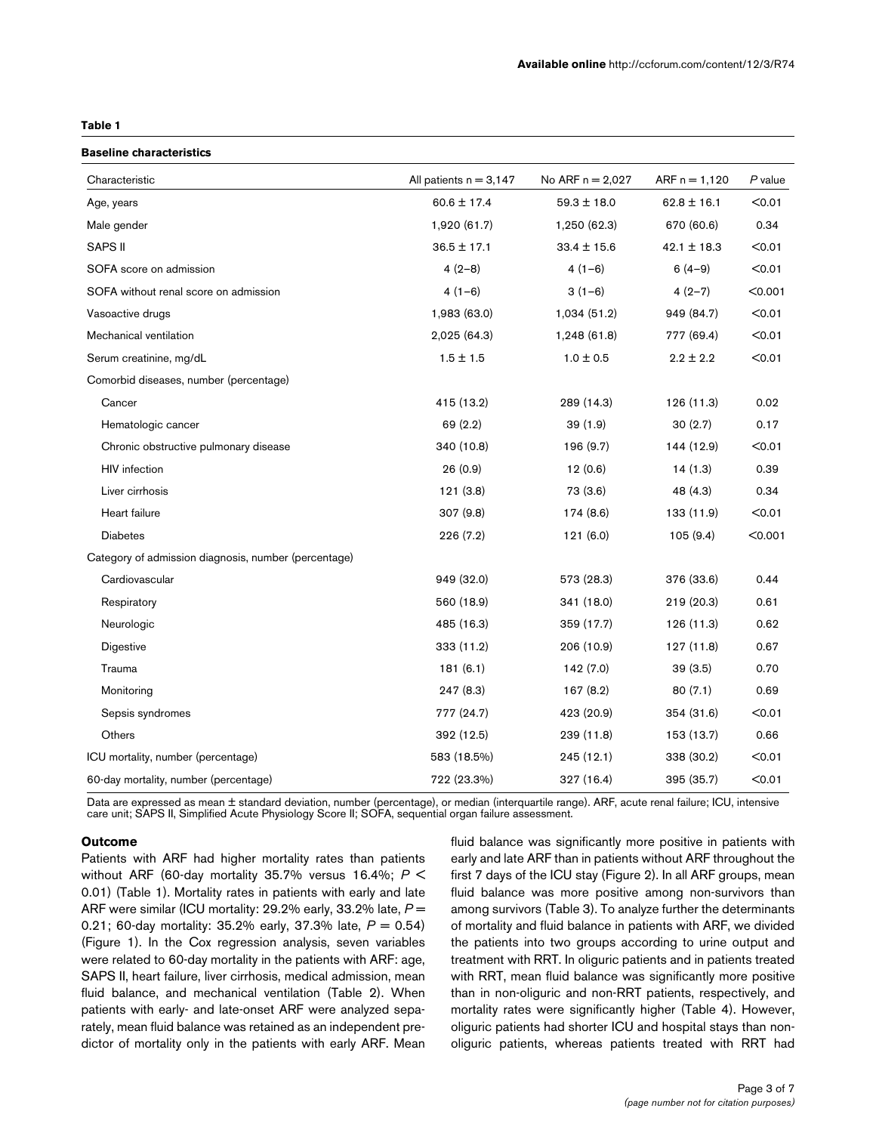## <span id="page-2-0"></span>**Table 1**

### **Baseline characteristics**

| Characteristic                                       | All patients $n = 3,147$ | No ARF n = 2,027 | $ARF n = 1,120$ | P value |
|------------------------------------------------------|--------------------------|------------------|-----------------|---------|
| Age, years                                           | $60.6 \pm 17.4$          | $59.3 \pm 18.0$  | $62.8 \pm 16.1$ | < 0.01  |
| Male gender                                          | 1,920 (61.7)             | 1,250 (62.3)     | 670 (60.6)      | 0.34    |
| SAPS II                                              | $36.5 \pm 17.1$          | $33.4 \pm 15.6$  | $42.1 \pm 18.3$ | < 0.01  |
| SOFA score on admission                              | $4(2-8)$                 | $4(1-6)$         | $6(4-9)$        | < 0.01  |
| SOFA without renal score on admission                | $4(1-6)$                 | $3(1-6)$         | $4(2-7)$        | < 0.001 |
| Vasoactive drugs                                     | 1,983 (63.0)             | 1,034 (51.2)     | 949 (84.7)      | < 0.01  |
| Mechanical ventilation                               | 2,025 (64.3)             | 1,248 (61.8)     | 777 (69.4)      | $0.01$  |
| Serum creatinine, mg/dL                              | $1.5 \pm 1.5$            | $1.0 \pm 0.5$    | $2.2 \pm 2.2$   | < 0.01  |
| Comorbid diseases, number (percentage)               |                          |                  |                 |         |
| Cancer                                               | 415 (13.2)               | 289 (14.3)       | 126 (11.3)      | 0.02    |
| Hematologic cancer                                   | 69 (2.2)                 | 39(1.9)          | 30(2.7)         | 0.17    |
| Chronic obstructive pulmonary disease                | 340 (10.8)               | 196 (9.7)        | 144 (12.9)      | < 0.01  |
| <b>HIV</b> infection                                 | 26(0.9)                  | 12(0.6)          | 14(1.3)         | 0.39    |
| Liver cirrhosis                                      | 121(3.8)                 | 73 (3.6)         | 48 (4.3)        | 0.34    |
| Heart failure                                        | 307 (9.8)                | 174 (8.6)        | 133 (11.9)      | < 0.01  |
| <b>Diabetes</b>                                      | 226 (7.2)                | 121(6.0)         | 105(9.4)        | < 0.001 |
| Category of admission diagnosis, number (percentage) |                          |                  |                 |         |
| Cardiovascular                                       | 949 (32.0)               | 573 (28.3)       | 376 (33.6)      | 0.44    |
| Respiratory                                          | 560 (18.9)               | 341 (18.0)       | 219 (20.3)      | 0.61    |
| Neurologic                                           | 485 (16.3)               | 359 (17.7)       | 126 (11.3)      | 0.62    |
| Digestive                                            | 333 (11.2)               | 206 (10.9)       | 127 (11.8)      | 0.67    |
| Trauma                                               | 181(6.1)                 | 142 (7.0)        | 39(3.5)         | 0.70    |
| Monitoring                                           | 247(8.3)                 | 167 (8.2)        | 80(7.1)         | 0.69    |
| Sepsis syndromes                                     | 777 (24.7)               | 423 (20.9)       | 354 (31.6)      | < 0.01  |
| Others                                               | 392 (12.5)               | 239 (11.8)       | 153 (13.7)      | 0.66    |
| ICU mortality, number (percentage)                   | 583 (18.5%)              | 245(12.1)        | 338 (30.2)      | < 0.01  |
| 60-day mortality, number (percentage)                | 722 (23.3%)              | 327 (16.4)       | 395 (35.7)      | < 0.01  |

Data are expressed as mean ± standard deviation, number (percentage), or median (interquartile range). ARF, acute renal failure; ICU, intensive care unit; SAPS II, Simplified Acute Physiology Score II; SOFA, sequential organ failure assessment.

## **Outcome**

Patients with ARF had higher mortality rates than patients without ARF (60-day mortality 35.7% versus 16.4%; *P* < 0.01) (Table [1\)](#page-2-0). Mortality rates in patients with early and late ARF were similar (ICU mortality: 29.2% early, 33.2% late, *P* = 0.21; 60-day mortality: 35.2% early, 37.3% late, *P* = 0.54) (Figure 1). In the Cox regression analysis, seven variables were related to 60-day mortality in the patients with ARF: age, SAPS II, heart failure, liver cirrhosis, medical admission, mean fluid balance, and mechanical ventilation (Table [2\)](#page-3-0). When patients with early- and late-onset ARF were analyzed separately, mean fluid balance was retained as an independent predictor of mortality only in the patients with early ARF. Mean

fluid balance was significantly more positive in patients with early and late ARF than in patients without ARF throughout the first 7 days of the ICU stay (Figure 2). In all ARF groups, mean fluid balance was more positive among non-survivors than among survivors (Table [3\)](#page-3-1). To analyze further the determinants of mortality and fluid balance in patients with ARF, we divided the patients into two groups according to urine output and treatment with RRT. In oliguric patients and in patients treated with RRT, mean fluid balance was significantly more positive than in non-oliguric and non-RRT patients, respectively, and mortality rates were significantly higher (Table [4\)](#page-4-0). However, oliguric patients had shorter ICU and hospital stays than nonoliguric patients, whereas patients treated with RRT had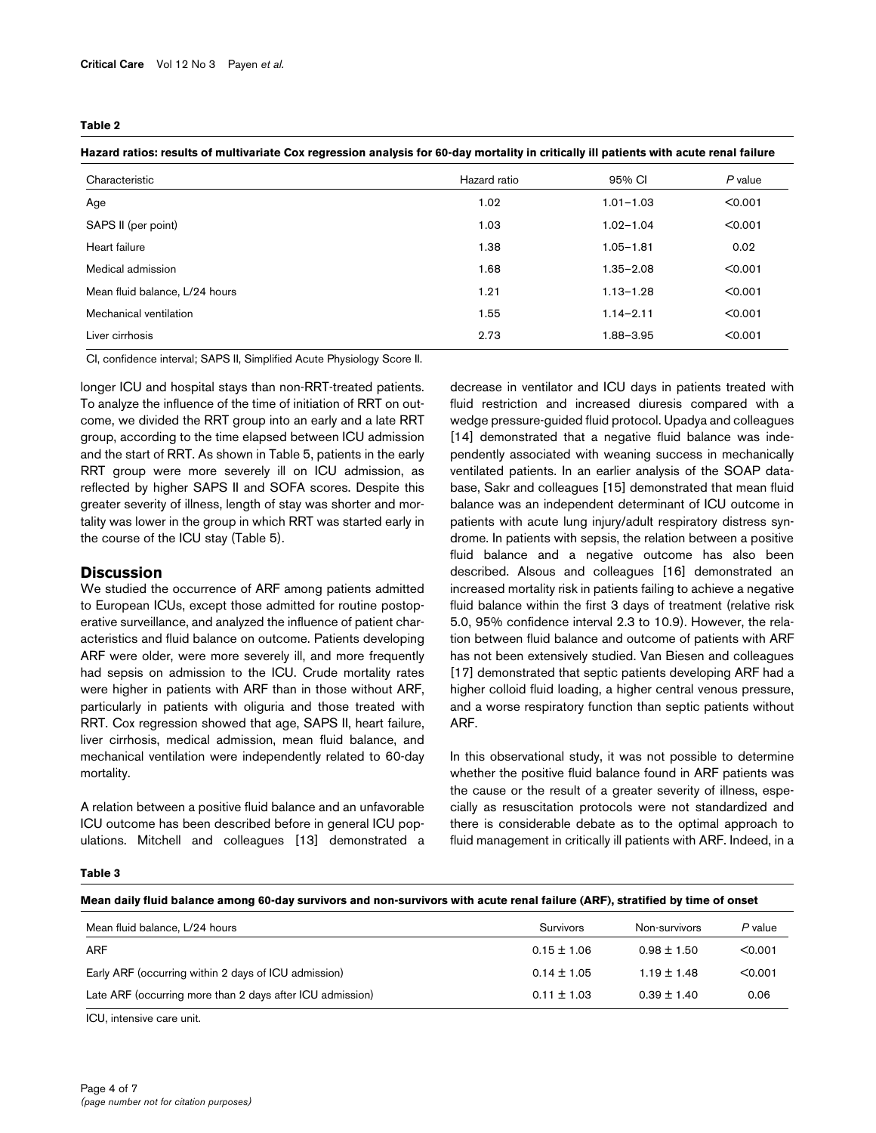### <span id="page-3-0"></span>**Table 2**

| Hazard ratios: results of multivariate Cox regression analysis for 60-day mortality in critically ill patients with acute renal failure |              |               |         |  |
|-----------------------------------------------------------------------------------------------------------------------------------------|--------------|---------------|---------|--|
| Characteristic                                                                                                                          | Hazard ratio | 95% CI        | P value |  |
| Age                                                                                                                                     | 1.02         | $1.01 - 1.03$ | < 0.001 |  |
| SAPS II (per point)                                                                                                                     | 1.03         | $1.02 - 1.04$ | < 0.001 |  |
| Heart failure                                                                                                                           | 1.38         | $1.05 - 1.81$ | 0.02    |  |
| Medical admission                                                                                                                       | 1.68         | $1.35 - 2.08$ | < 0.001 |  |
| Mean fluid balance, L/24 hours                                                                                                          | 1.21         | $1.13 - 1.28$ | < 0.001 |  |
| Mechanical ventilation                                                                                                                  | 1.55         | $1.14 - 2.11$ | < 0.001 |  |
| Liver cirrhosis                                                                                                                         | 2.73         | 1.88-3.95     | < 0.001 |  |

CI, confidence interval; SAPS II, Simplified Acute Physiology Score II.

longer ICU and hospital stays than non-RRT-treated patients. To analyze the influence of the time of initiation of RRT on outcome, we divided the RRT group into an early and a late RRT group, according to the time elapsed between ICU admission and the start of RRT. As shown in Table [5](#page-4-1), patients in the early RRT group were more severely ill on ICU admission, as reflected by higher SAPS II and SOFA scores. Despite this greater severity of illness, length of stay was shorter and mortality was lower in the group in which RRT was started early in the course of the ICU stay (Table [5\)](#page-4-1).

## **Discussion**

We studied the occurrence of ARF among patients admitted to European ICUs, except those admitted for routine postoperative surveillance, and analyzed the influence of patient characteristics and fluid balance on outcome. Patients developing ARF were older, were more severely ill, and more frequently had sepsis on admission to the ICU. Crude mortality rates were higher in patients with ARF than in those without ARF, particularly in patients with oliguria and those treated with RRT. Cox regression showed that age, SAPS II, heart failure, liver cirrhosis, medical admission, mean fluid balance, and mechanical ventilation were independently related to 60-day mortality.

A relation between a positive fluid balance and an unfavorable ICU outcome has been described before in general ICU populations. Mitchell and colleagues [13] demonstrated a decrease in ventilator and ICU days in patients treated with fluid restriction and increased diuresis compared with a wedge pressure-guided fluid protocol. Upadya and colleagues [14] demonstrated that a negative fluid balance was independently associated with weaning success in mechanically ventilated patients. In an earlier analysis of the SOAP database, Sakr and colleagues [15] demonstrated that mean fluid balance was an independent determinant of ICU outcome in patients with acute lung injury/adult respiratory distress syndrome. In patients with sepsis, the relation between a positive fluid balance and a negative outcome has also been described. Alsous and colleagues [16] demonstrated an increased mortality risk in patients failing to achieve a negative fluid balance within the first 3 days of treatment (relative risk 5.0, 95% confidence interval 2.3 to 10.9). However, the relation between fluid balance and outcome of patients with ARF has not been extensively studied. Van Biesen and colleagues [17] demonstrated that septic patients developing ARF had a higher colloid fluid loading, a higher central venous pressure, and a worse respiratory function than septic patients without ARF.

In this observational study, it was not possible to determine whether the positive fluid balance found in ARF patients was the cause or the result of a greater severity of illness, especially as resuscitation protocols were not standardized and there is considerable debate as to the optimal approach to fluid management in critically ill patients with ARF. Indeed, in a

#### <span id="page-3-1"></span>**Table 3**

### **Mean daily fluid balance among 60-day survivors and non-survivors with acute renal failure (ARF), stratified by time of onset**

| Mean fluid balance, L/24 hours                            | Survivors       | Non-survivors   | P value |
|-----------------------------------------------------------|-----------------|-----------------|---------|
| <b>ARF</b>                                                | $0.15 \pm 1.06$ | $0.98 \pm 1.50$ | < 0.001 |
| Early ARF (occurring within 2 days of ICU admission)      | $0.14 \pm 1.05$ | $1.19 \pm 1.48$ | < 0.001 |
| Late ARF (occurring more than 2 days after ICU admission) | $0.11 \pm 1.03$ | $0.39 \pm 1.40$ | 0.06    |

ICU, intensive care unit.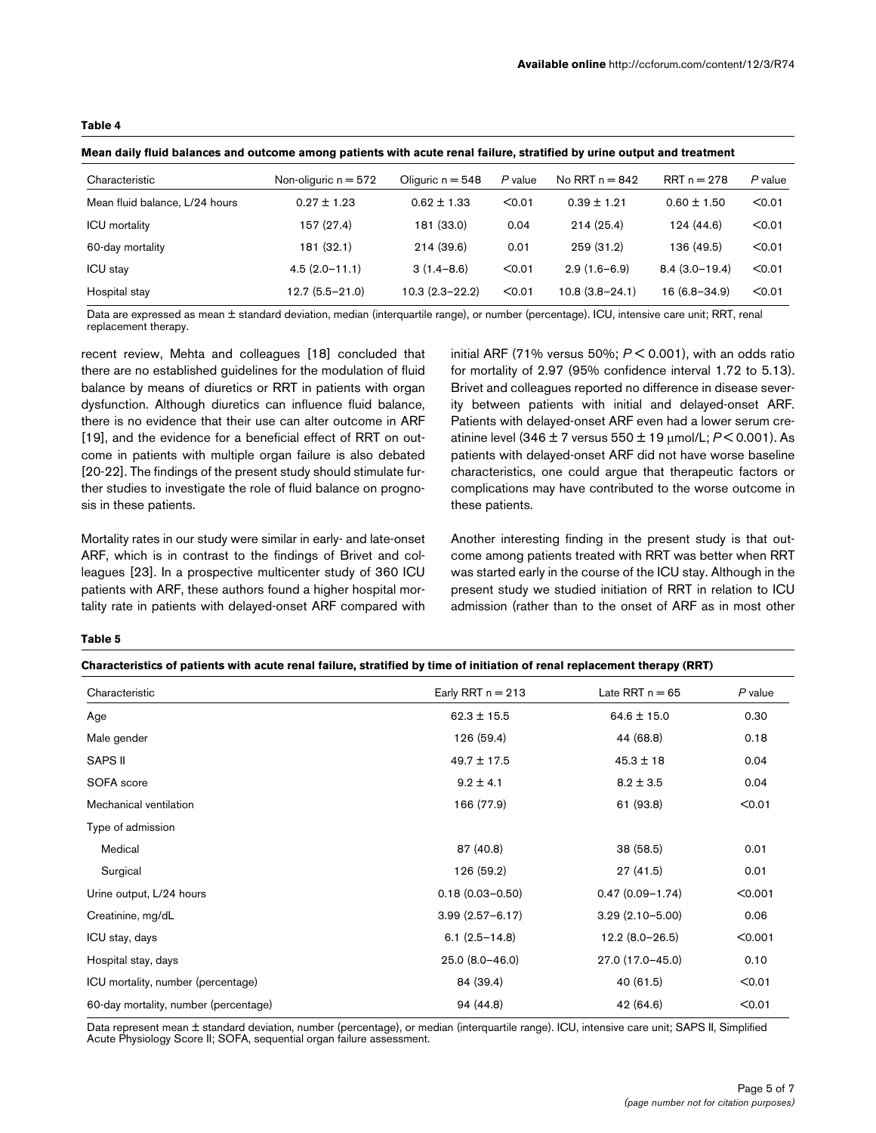## <span id="page-4-0"></span>**Table 4**

| Mean daily fluid balances and outcome among patients with acute renal failure, stratified by urine output and treatment |  |  |  |  |  |  |
|-------------------------------------------------------------------------------------------------------------------------|--|--|--|--|--|--|
|-------------------------------------------------------------------------------------------------------------------------|--|--|--|--|--|--|

| Characteristic                 | Non-oliguric $n = 572$ | Oliguric $n = 548$ | P value | No RRT $n = 842$   | $RRT n = 278$    | P value |
|--------------------------------|------------------------|--------------------|---------|--------------------|------------------|---------|
| Mean fluid balance, L/24 hours | $0.27 \pm 1.23$        | $0.62 \pm 1.33$    | < 0.01  | $0.39 \pm 1.21$    | $0.60 \pm 1.50$  | < 0.01  |
| <b>ICU</b> mortality           | 157 (27.4)             | 181 (33.0)         | 0.04    | 214(25.4)          | 124 (44.6)       | < 0.01  |
| 60-day mortality               | 181 (32.1)             | 214(39.6)          | 0.01    | 259 (31.2)         | 136 (49.5)       | < 0.01  |
| <b>ICU</b> stay                | $4.5(2.0 - 11.1)$      | $3(1.4 - 8.6)$     | < 0.01  | $2.9(1.6-6.9)$     | $8.4(3.0-19.4)$  | < 0.01  |
| Hospital stay                  | $12.7(5.5-21.0)$       | $10.3(2.3 - 22.2)$ | < 0.01  | $10.8(3.8 - 24.1)$ | $16(6.8 - 34.9)$ | < 0.01  |

Data are expressed as mean ± standard deviation, median (interquartile range), or number (percentage). ICU, intensive care unit; RRT, renal replacement therapy.

recent review, Mehta and colleagues [18] concluded that there are no established guidelines for the modulation of fluid balance by means of diuretics or RRT in patients with organ dysfunction. Although diuretics can influence fluid balance, there is no evidence that their use can alter outcome in ARF [19], and the evidence for a beneficial effect of RRT on outcome in patients with multiple organ failure is also debated [20-22]. The findings of the present study should stimulate further studies to investigate the role of fluid balance on prognosis in these patients.

Mortality rates in our study were similar in early- and late-onset ARF, which is in contrast to the findings of Brivet and colleagues [23]. In a prospective multicenter study of 360 ICU patients with ARF, these authors found a higher hospital mortality rate in patients with delayed-onset ARF compared with

initial ARF (71% versus 50%; *P* < 0.001), with an odds ratio for mortality of 2.97 (95% confidence interval 1.72 to 5.13). Brivet and colleagues reported no difference in disease severity between patients with initial and delayed-onset ARF. Patients with delayed-onset ARF even had a lower serum creatinine level (346 ± 7 versus 550 ± 19 μmol/L; *P* < 0.001). As patients with delayed-onset ARF did not have worse baseline characteristics, one could argue that therapeutic factors or complications may have contributed to the worse outcome in these patients.

Another interesting finding in the present study is that outcome among patients treated with RRT was better when RRT was started early in the course of the ICU stay. Although in the present study we studied initiation of RRT in relation to ICU admission (rather than to the onset of ARF as in most other

### <span id="page-4-1"></span>**Table 5**

| Characteristics of patients with acute renal failure, stratified by time of initiation of renal replacement therapy (RRT) |  |  |
|---------------------------------------------------------------------------------------------------------------------------|--|--|
|                                                                                                                           |  |  |

| Characteristic                        | Early RRT $n = 213$ | Late RRT $n = 65$   | $P$ value |
|---------------------------------------|---------------------|---------------------|-----------|
| Age                                   | $62.3 \pm 15.5$     | $64.6 \pm 15.0$     | 0.30      |
| Male gender                           | 126 (59.4)          | 44 (68.8)           | 0.18      |
| <b>SAPS II</b>                        | $49.7 \pm 17.5$     | $45.3 \pm 18$       | 0.04      |
| SOFA score                            | $9.2 \pm 4.1$       | $8.2 \pm 3.5$       | 0.04      |
| Mechanical ventilation                | 166 (77.9)          | 61 (93.8)           | < 0.01    |
| Type of admission                     |                     |                     |           |
| Medical                               | 87 (40.8)           | 38 (58.5)           | 0.01      |
| Surgical                              | 126 (59.2)          | 27(41.5)            | 0.01      |
| Urine output, L/24 hours              | $0.18(0.03 - 0.50)$ | $0.47(0.09 - 1.74)$ | < 0.001   |
| Creatinine, mg/dL                     | $3.99(2.57 - 6.17)$ | $3.29(2.10 - 5.00)$ | 0.06      |
| ICU stay, days                        | $6.1(2.5 - 14.8)$   | $12.2(8.0-26.5)$    | < 0.001   |
| Hospital stay, days                   | 25.0 (8.0-46.0)     | 27.0 (17.0-45.0)    | 0.10      |
| ICU mortality, number (percentage)    | 84 (39.4)           | 40(61.5)            | < 0.01    |
| 60-day mortality, number (percentage) | 94 (44.8)           | 42 (64.6)           | < 0.01    |

Data represent mean ± standard deviation, number (percentage), or median (interquartile range). ICU, intensive care unit; SAPS II, Simplified Acute Physiology Score II; SOFA, sequential organ failure assessment.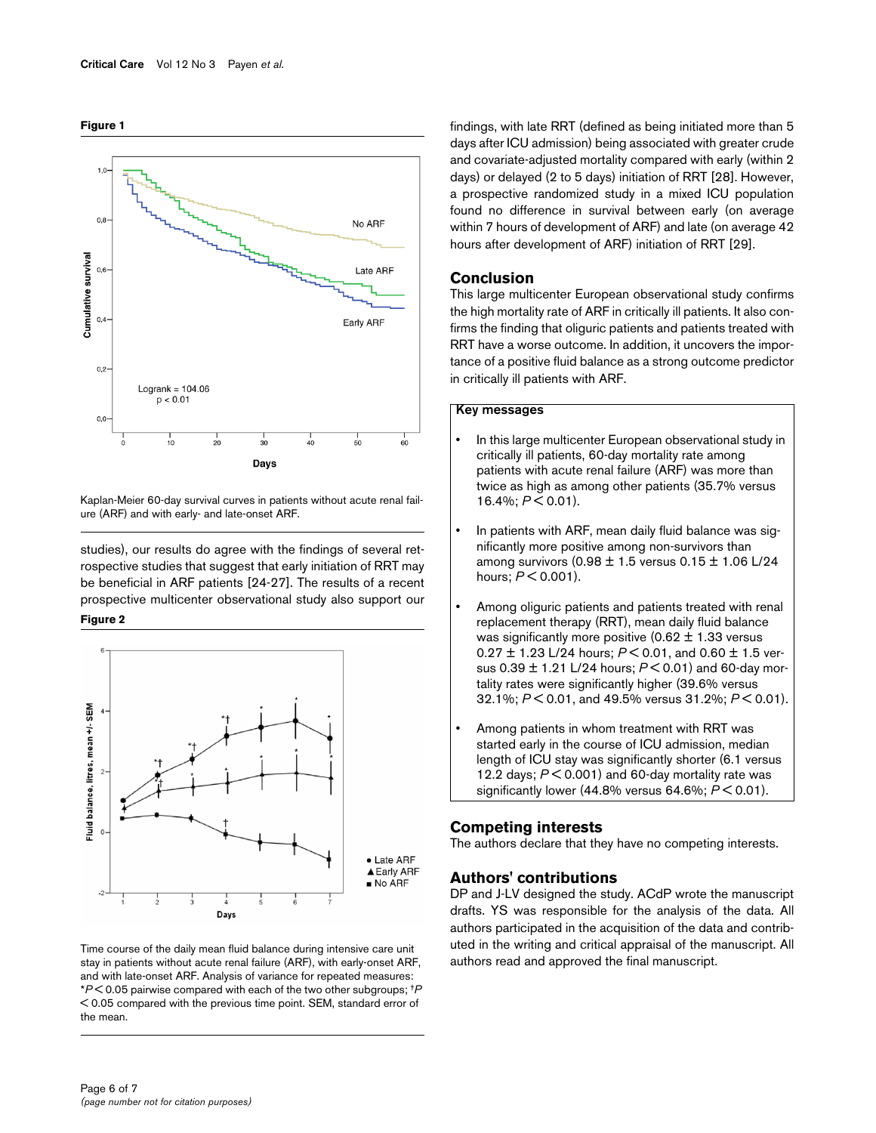

**Figure 1**

Kaplan-Meier 60-day survival curves in patients without acute renal failure (ARF) and with early- and late-onset ARF.

studies), our results do agree with the findings of several retrospective studies that suggest that early initiation of RRT may be beneficial in ARF patients [24-27]. The results of a recent prospective multicenter observational study also support our **Figure 2**



Time course of the daily mean fluid balance during intensive care unit stay in patients without acute renal failure (ARF), with early-onset ARF, and with late-onset ARF. Analysis of variance for repeated measures: \**P* < 0.05 pairwise compared with each of the two other subgroups; †*P*  < 0.05 compared with the previous time point. SEM, standard error of the mean.

findings, with late RRT (defined as being initiated more than 5 days after ICU admission) being associated with greater crude and covariate-adjusted mortality compared with early (within 2 days) or delayed (2 to 5 days) initiation of RRT [28]. However, a prospective randomized study in a mixed ICU population found no difference in survival between early (on average within 7 hours of development of ARF) and late (on average 42 hours after development of ARF) initiation of RRT [29].

## **Conclusion**

This large multicenter European observational study confirms the high mortality rate of ARF in critically ill patients. It also confirms the finding that oliguric patients and patients treated with RRT have a worse outcome. In addition, it uncovers the importance of a positive fluid balance as a strong outcome predictor in critically ill patients with ARF.

## **Key messages**

- In this large multicenter European observational study in critically ill patients, 60-day mortality rate among patients with acute renal failure (ARF) was more than twice as high as among other patients (35.7% versus 16.4%; *P* < 0.01).
- In patients with ARF, mean daily fluid balance was significantly more positive among non-survivors than among survivors  $(0.98 \pm 1.5 \text{ versus } 0.15 \pm 1.06 \text{ L}/24)$ hours; *P* < 0.001).
- Among oliguric patients and patients treated with renal replacement therapy (RRT), mean daily fluid balance was significantly more positive  $(0.62 \pm 1.33)$  versus 0.27 ± 1.23 L/24 hours; *P* < 0.01, and 0.60 ± 1.5 versus 0.39 ± 1.21 L/24 hours; *P* < 0.01) and 60-day mortality rates were significantly higher (39.6% versus 32.1%; *P* < 0.01, and 49.5% versus 31.2%; *P* < 0.01).
- Among patients in whom treatment with RRT was started early in the course of ICU admission, median length of ICU stay was significantly shorter (6.1 versus 12.2 days; *P* < 0.001) and 60-day mortality rate was significantly lower (44.8% versus 64.6%; *P* < 0.01).

## **Competing interests**

The authors declare that they have no competing interests.

## **Authors' contributions**

DP and J-LV designed the study. ACdP wrote the manuscript drafts. YS was responsible for the analysis of the data. All authors participated in the acquisition of the data and contributed in the writing and critical appraisal of the manuscript. All authors read and approved the final manuscript.